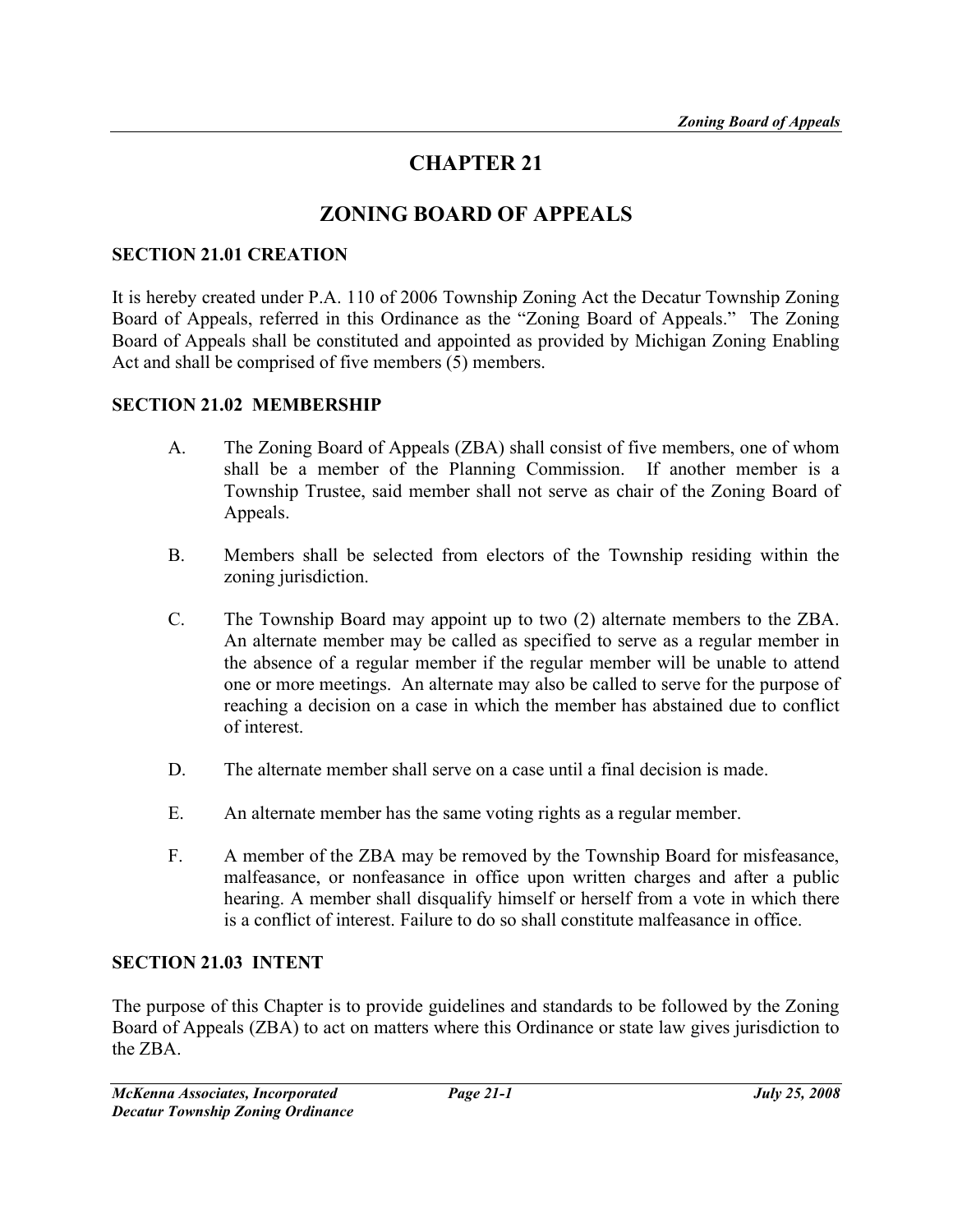# CHAPTER 21

# ZONING BOARD OF APPEALS

#### SECTION 21.01 CREATION

It is hereby created under P.A. 110 of 2006 Township Zoning Act the Decatur Township Zoning Board of Appeals, referred in this Ordinance as the "Zoning Board of Appeals." The Zoning Board of Appeals shall be constituted and appointed as provided by Michigan Zoning Enabling Act and shall be comprised of five members (5) members.

#### SECTION 21.02 MEMBERSHIP

- A. The Zoning Board of Appeals (ZBA) shall consist of five members, one of whom shall be a member of the Planning Commission. If another member is a Township Trustee, said member shall not serve as chair of the Zoning Board of Appeals.
- B. Members shall be selected from electors of the Township residing within the zoning jurisdiction.
- C. The Township Board may appoint up to two (2) alternate members to the ZBA. An alternate member may be called as specified to serve as a regular member in the absence of a regular member if the regular member will be unable to attend one or more meetings. An alternate may also be called to serve for the purpose of reaching a decision on a case in which the member has abstained due to conflict of interest.
- D. The alternate member shall serve on a case until a final decision is made.
- E. An alternate member has the same voting rights as a regular member.
- F. A member of the ZBA may be removed by the Township Board for misfeasance, malfeasance, or nonfeasance in office upon written charges and after a public hearing. A member shall disqualify himself or herself from a vote in which there is a conflict of interest. Failure to do so shall constitute malfeasance in office.

#### SECTION 21.03 INTENT

The purpose of this Chapter is to provide guidelines and standards to be followed by the Zoning Board of Appeals (ZBA) to act on matters where this Ordinance or state law gives jurisdiction to the ZBA.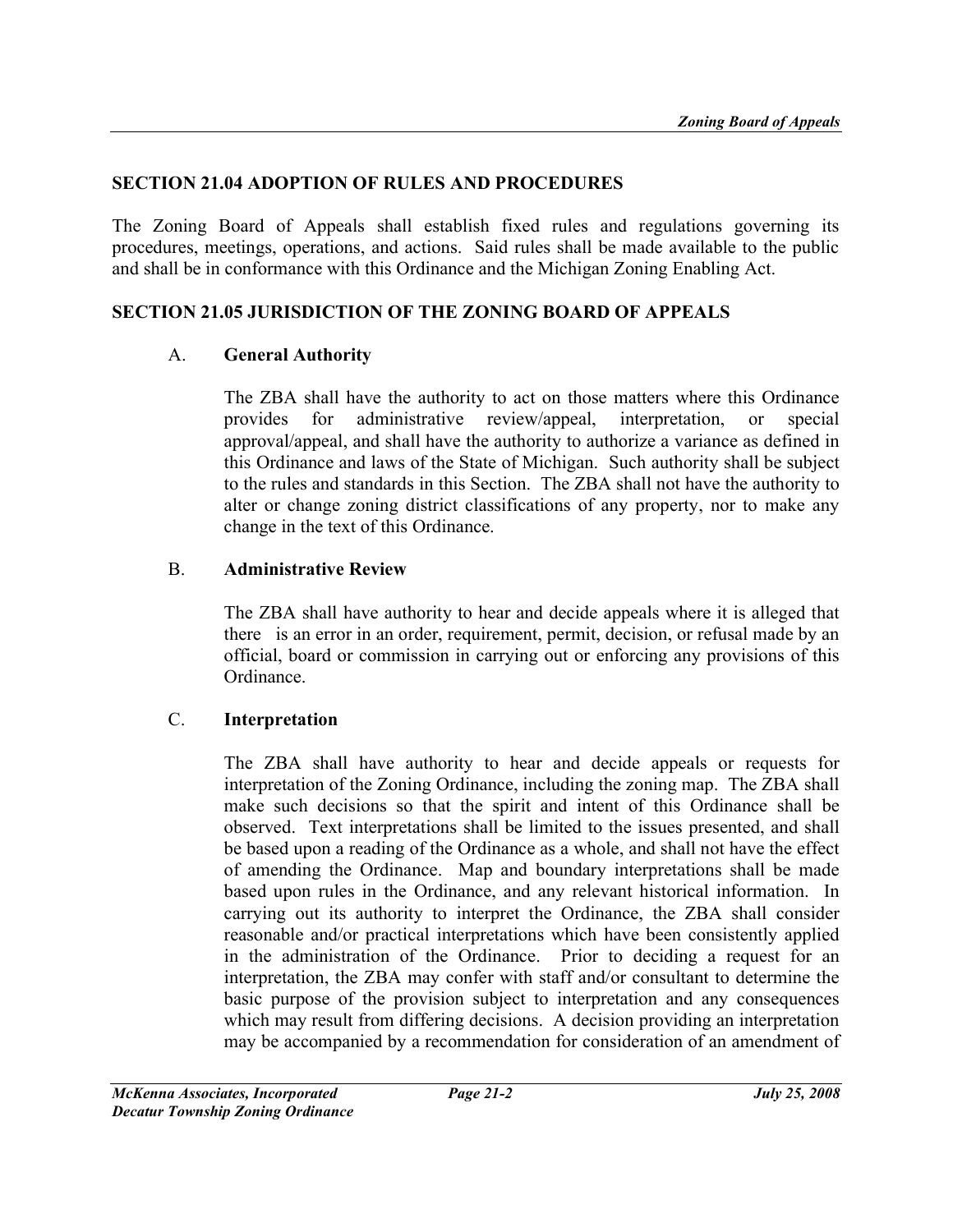#### SECTION 21.04 ADOPTION OF RULES AND PROCEDURES

The Zoning Board of Appeals shall establish fixed rules and regulations governing its procedures, meetings, operations, and actions. Said rules shall be made available to the public and shall be in conformance with this Ordinance and the Michigan Zoning Enabling Act.

#### SECTION 21.05 JURISDICTION OF THE ZONING BOARD OF APPEALS

#### A. General Authority

The ZBA shall have the authority to act on those matters where this Ordinance provides for administrative review/appeal, interpretation, or special approval/appeal, and shall have the authority to authorize a variance as defined in this Ordinance and laws of the State of Michigan. Such authority shall be subject to the rules and standards in this Section. The ZBA shall not have the authority to alter or change zoning district classifications of any property, nor to make any change in the text of this Ordinance.

#### B. Administrative Review

The ZBA shall have authority to hear and decide appeals where it is alleged that there is an error in an order, requirement, permit, decision, or refusal made by an official, board or commission in carrying out or enforcing any provisions of this Ordinance.

# C. Interpretation

The ZBA shall have authority to hear and decide appeals or requests for interpretation of the Zoning Ordinance, including the zoning map. The ZBA shall make such decisions so that the spirit and intent of this Ordinance shall be observed. Text interpretations shall be limited to the issues presented, and shall be based upon a reading of the Ordinance as a whole, and shall not have the effect of amending the Ordinance. Map and boundary interpretations shall be made based upon rules in the Ordinance, and any relevant historical information. In carrying out its authority to interpret the Ordinance, the ZBA shall consider reasonable and/or practical interpretations which have been consistently applied in the administration of the Ordinance. Prior to deciding a request for an interpretation, the ZBA may confer with staff and/or consultant to determine the basic purpose of the provision subject to interpretation and any consequences which may result from differing decisions. A decision providing an interpretation may be accompanied by a recommendation for consideration of an amendment of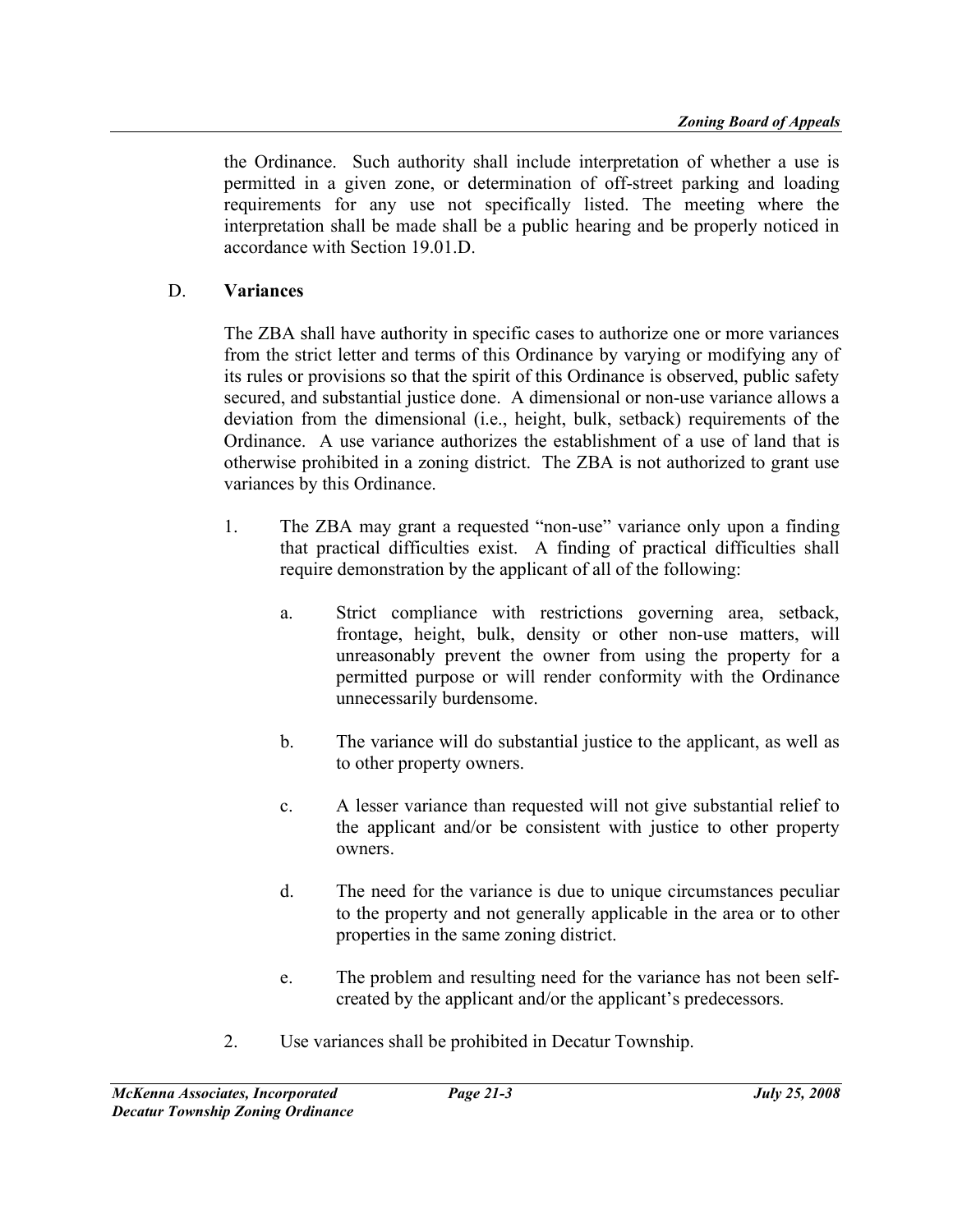the Ordinance. Such authority shall include interpretation of whether a use is permitted in a given zone, or determination of off-street parking and loading requirements for any use not specifically listed. The meeting where the interpretation shall be made shall be a public hearing and be properly noticed in accordance with Section 19.01.D.

#### D. Variances

The ZBA shall have authority in specific cases to authorize one or more variances from the strict letter and terms of this Ordinance by varying or modifying any of its rules or provisions so that the spirit of this Ordinance is observed, public safety secured, and substantial justice done. A dimensional or non-use variance allows a deviation from the dimensional (i.e., height, bulk, setback) requirements of the Ordinance. A use variance authorizes the establishment of a use of land that is otherwise prohibited in a zoning district. The ZBA is not authorized to grant use variances by this Ordinance.

- 1. The ZBA may grant a requested "non-use" variance only upon a finding that practical difficulties exist. A finding of practical difficulties shall require demonstration by the applicant of all of the following:
	- a. Strict compliance with restrictions governing area, setback, frontage, height, bulk, density or other non-use matters, will unreasonably prevent the owner from using the property for a permitted purpose or will render conformity with the Ordinance unnecessarily burdensome.
	- b. The variance will do substantial justice to the applicant, as well as to other property owners.
	- c. A lesser variance than requested will not give substantial relief to the applicant and/or be consistent with justice to other property owners.
	- d. The need for the variance is due to unique circumstances peculiar to the property and not generally applicable in the area or to other properties in the same zoning district.
	- e. The problem and resulting need for the variance has not been selfcreated by the applicant and/or the applicant's predecessors.
- 2. Use variances shall be prohibited in Decatur Township.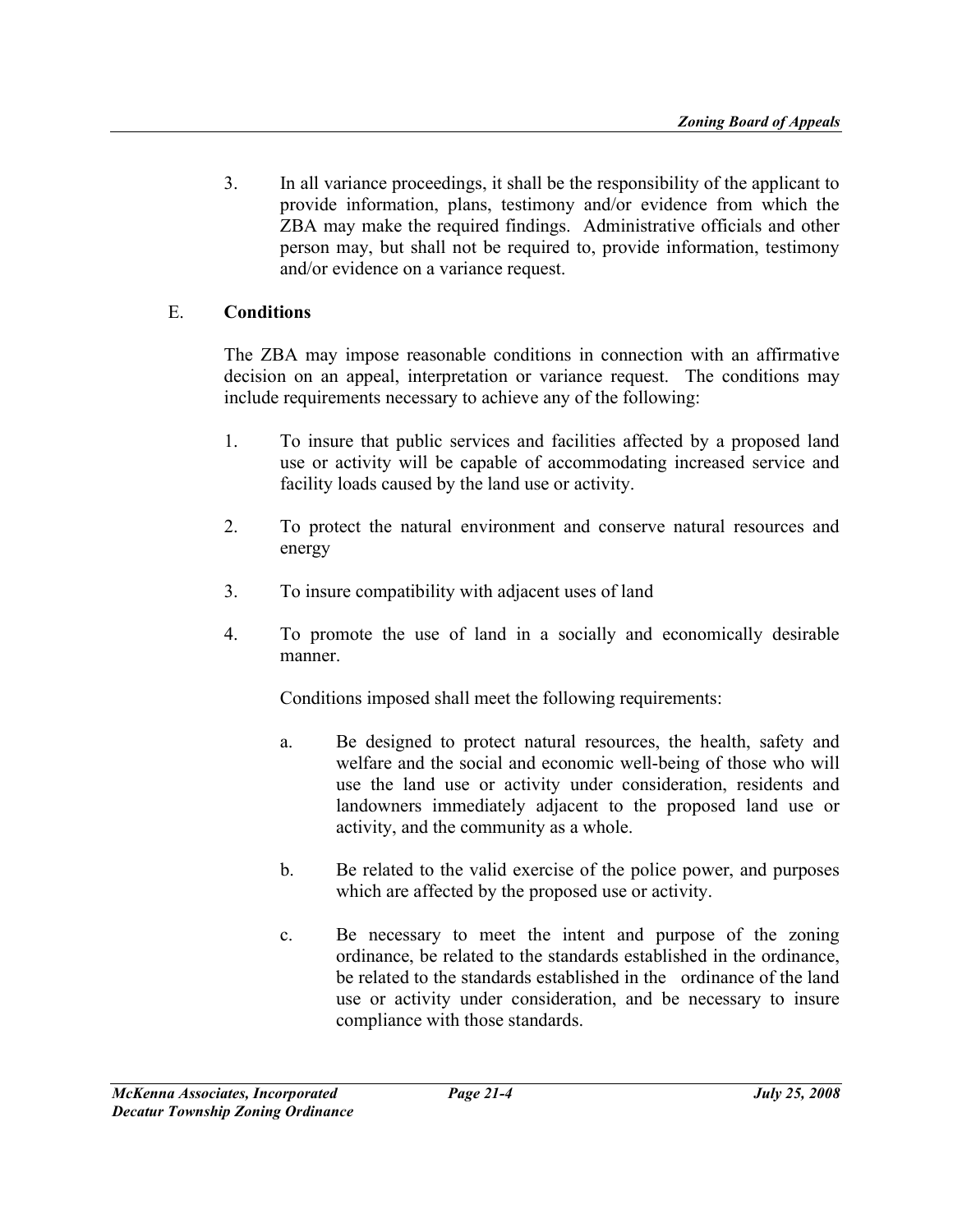3. In all variance proceedings, it shall be the responsibility of the applicant to provide information, plans, testimony and/or evidence from which the ZBA may make the required findings. Administrative officials and other person may, but shall not be required to, provide information, testimony and/or evidence on a variance request.

#### E. Conditions

The ZBA may impose reasonable conditions in connection with an affirmative decision on an appeal, interpretation or variance request. The conditions may include requirements necessary to achieve any of the following:

- 1. To insure that public services and facilities affected by a proposed land use or activity will be capable of accommodating increased service and facility loads caused by the land use or activity.
- 2. To protect the natural environment and conserve natural resources and energy
- 3. To insure compatibility with adjacent uses of land
- 4. To promote the use of land in a socially and economically desirable manner.

Conditions imposed shall meet the following requirements:

- a. Be designed to protect natural resources, the health, safety and welfare and the social and economic well-being of those who will use the land use or activity under consideration, residents and landowners immediately adjacent to the proposed land use or activity, and the community as a whole.
- b. Be related to the valid exercise of the police power, and purposes which are affected by the proposed use or activity.
- c. Be necessary to meet the intent and purpose of the zoning ordinance, be related to the standards established in the ordinance, be related to the standards established in the ordinance of the land use or activity under consideration, and be necessary to insure compliance with those standards.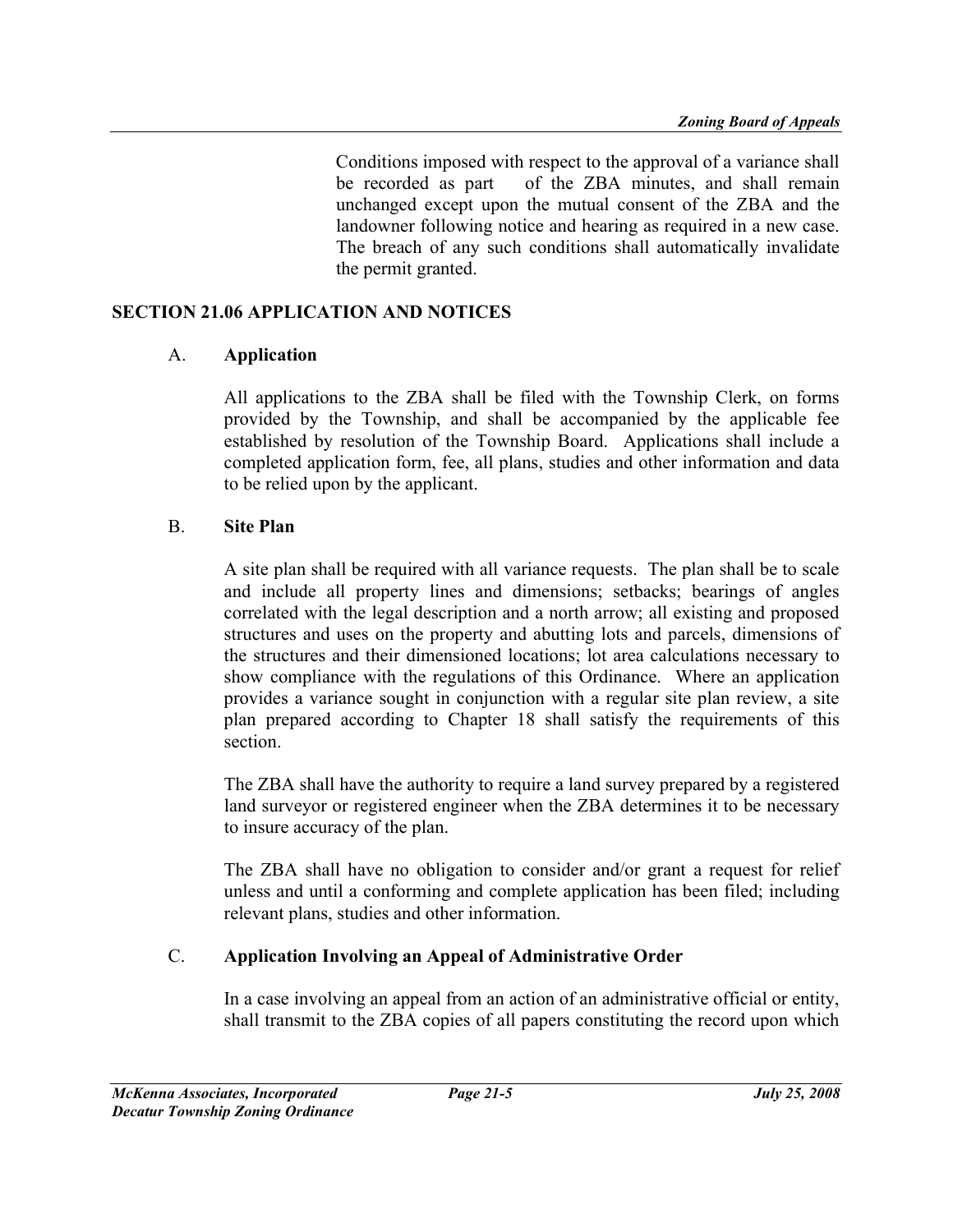Conditions imposed with respect to the approval of a variance shall be recorded as part of the ZBA minutes, and shall remain unchanged except upon the mutual consent of the ZBA and the landowner following notice and hearing as required in a new case. The breach of any such conditions shall automatically invalidate the permit granted.

#### SECTION 21.06 APPLICATION AND NOTICES

#### A. Application

All applications to the ZBA shall be filed with the Township Clerk, on forms provided by the Township, and shall be accompanied by the applicable fee established by resolution of the Township Board. Applications shall include a completed application form, fee, all plans, studies and other information and data to be relied upon by the applicant.

#### B. Site Plan

A site plan shall be required with all variance requests. The plan shall be to scale and include all property lines and dimensions; setbacks; bearings of angles correlated with the legal description and a north arrow; all existing and proposed structures and uses on the property and abutting lots and parcels, dimensions of the structures and their dimensioned locations; lot area calculations necessary to show compliance with the regulations of this Ordinance. Where an application provides a variance sought in conjunction with a regular site plan review, a site plan prepared according to Chapter 18 shall satisfy the requirements of this section.

The ZBA shall have the authority to require a land survey prepared by a registered land surveyor or registered engineer when the ZBA determines it to be necessary to insure accuracy of the plan.

The ZBA shall have no obligation to consider and/or grant a request for relief unless and until a conforming and complete application has been filed; including relevant plans, studies and other information.

# C. Application Involving an Appeal of Administrative Order

In a case involving an appeal from an action of an administrative official or entity, shall transmit to the ZBA copies of all papers constituting the record upon which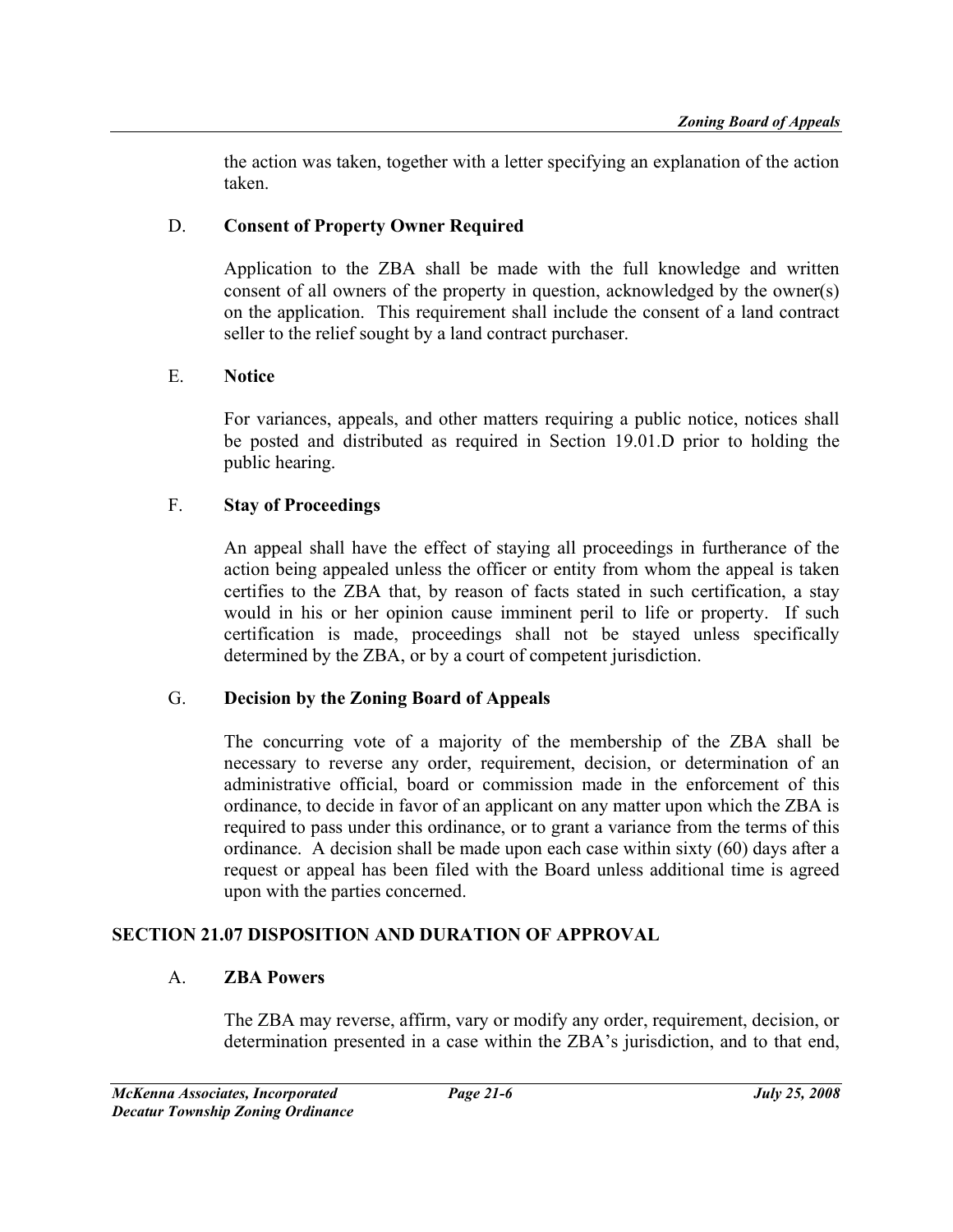the action was taken, together with a letter specifying an explanation of the action taken.

# D. Consent of Property Owner Required

Application to the ZBA shall be made with the full knowledge and written consent of all owners of the property in question, acknowledged by the owner(s) on the application. This requirement shall include the consent of a land contract seller to the relief sought by a land contract purchaser.

# E. Notice

For variances, appeals, and other matters requiring a public notice, notices shall be posted and distributed as required in Section 19.01.D prior to holding the public hearing.

# F. Stay of Proceedings

An appeal shall have the effect of staying all proceedings in furtherance of the action being appealed unless the officer or entity from whom the appeal is taken certifies to the ZBA that, by reason of facts stated in such certification, a stay would in his or her opinion cause imminent peril to life or property. If such certification is made, proceedings shall not be stayed unless specifically determined by the ZBA, or by a court of competent jurisdiction.

# G. Decision by the Zoning Board of Appeals

The concurring vote of a majority of the membership of the ZBA shall be necessary to reverse any order, requirement, decision, or determination of an administrative official, board or commission made in the enforcement of this ordinance, to decide in favor of an applicant on any matter upon which the ZBA is required to pass under this ordinance, or to grant a variance from the terms of this ordinance. A decision shall be made upon each case within sixty (60) days after a request or appeal has been filed with the Board unless additional time is agreed upon with the parties concerned.

# SECTION 21.07 DISPOSITION AND DURATION OF APPROVAL

# A. ZBA Powers

The ZBA may reverse, affirm, vary or modify any order, requirement, decision, or determination presented in a case within the ZBA's jurisdiction, and to that end,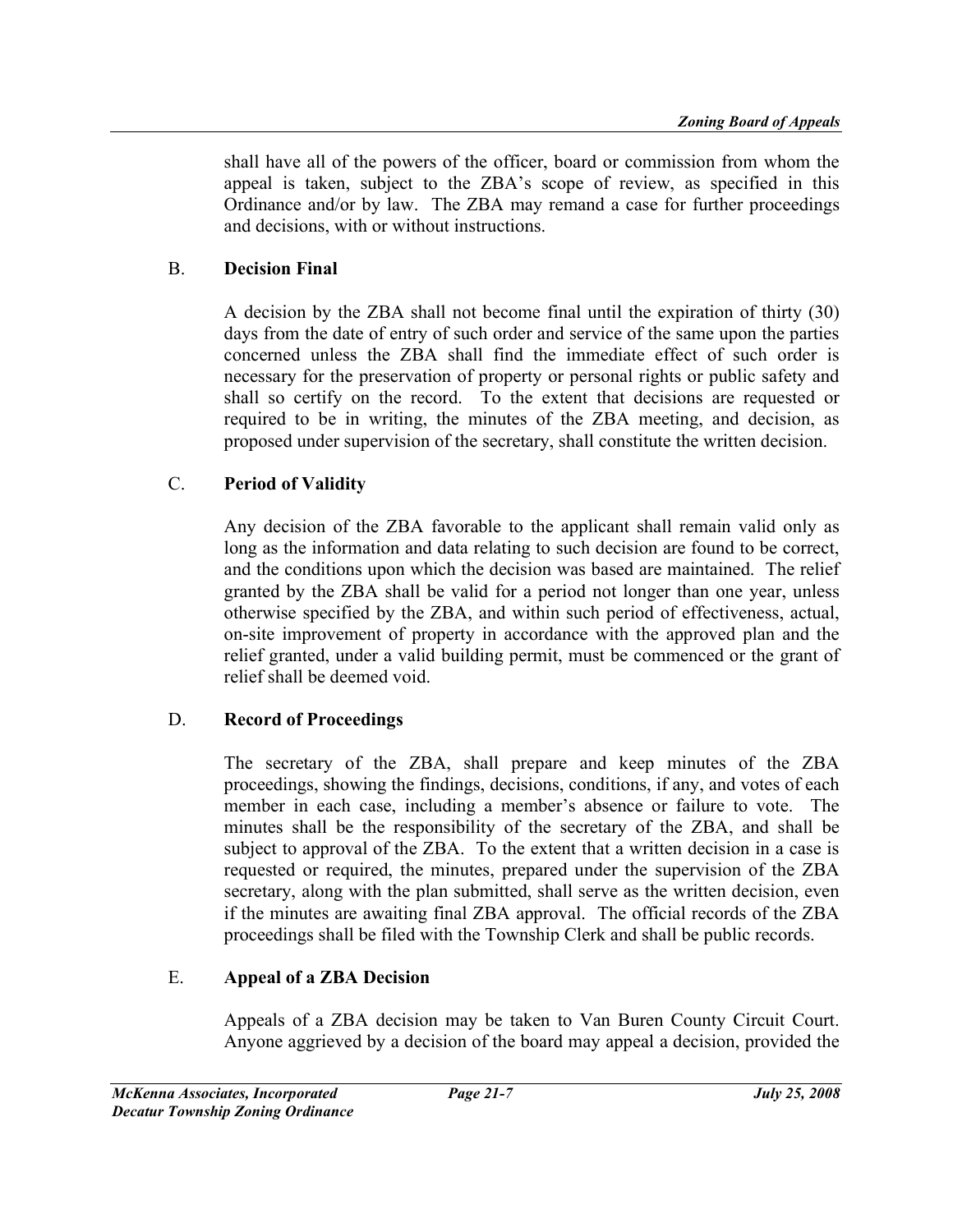shall have all of the powers of the officer, board or commission from whom the appeal is taken, subject to the ZBA's scope of review, as specified in this Ordinance and/or by law. The ZBA may remand a case for further proceedings and decisions, with or without instructions.

# B. Decision Final

A decision by the ZBA shall not become final until the expiration of thirty (30) days from the date of entry of such order and service of the same upon the parties concerned unless the ZBA shall find the immediate effect of such order is necessary for the preservation of property or personal rights or public safety and shall so certify on the record. To the extent that decisions are requested or required to be in writing, the minutes of the ZBA meeting, and decision, as proposed under supervision of the secretary, shall constitute the written decision.

# C. Period of Validity

Any decision of the ZBA favorable to the applicant shall remain valid only as long as the information and data relating to such decision are found to be correct, and the conditions upon which the decision was based are maintained. The relief granted by the ZBA shall be valid for a period not longer than one year, unless otherwise specified by the ZBA, and within such period of effectiveness, actual, on-site improvement of property in accordance with the approved plan and the relief granted, under a valid building permit, must be commenced or the grant of relief shall be deemed void.

# D. Record of Proceedings

The secretary of the ZBA, shall prepare and keep minutes of the ZBA proceedings, showing the findings, decisions, conditions, if any, and votes of each member in each case, including a member's absence or failure to vote. The minutes shall be the responsibility of the secretary of the ZBA, and shall be subject to approval of the ZBA. To the extent that a written decision in a case is requested or required, the minutes, prepared under the supervision of the ZBA secretary, along with the plan submitted, shall serve as the written decision, even if the minutes are awaiting final ZBA approval. The official records of the ZBA proceedings shall be filed with the Township Clerk and shall be public records.

# E. Appeal of a ZBA Decision

Appeals of a ZBA decision may be taken to Van Buren County Circuit Court. Anyone aggrieved by a decision of the board may appeal a decision, provided the